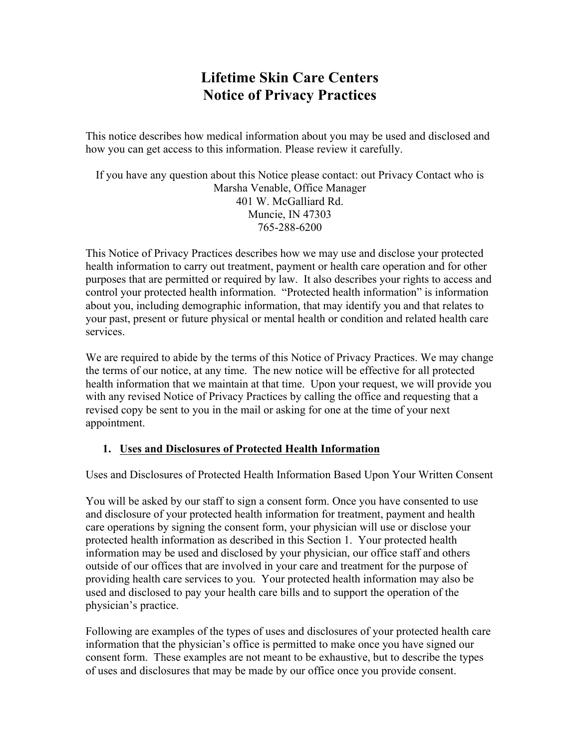# **Lifetime Skin Care Centers Notice of Privacy Practices**

This notice describes how medical information about you may be used and disclosed and how you can get access to this information. Please review it carefully.

If you have any question about this Notice please contact: out Privacy Contact who is Marsha Venable, Office Manager 401 W. McGalliard Rd. Muncie, IN 47303 765-288-6200

This Notice of Privacy Practices describes how we may use and disclose your protected health information to carry out treatment, payment or health care operation and for other purposes that are permitted or required by law. It also describes your rights to access and control your protected health information. "Protected health information" is information about you, including demographic information, that may identify you and that relates to your past, present or future physical or mental health or condition and related health care services.

We are required to abide by the terms of this Notice of Privacy Practices. We may change the terms of our notice, at any time. The new notice will be effective for all protected health information that we maintain at that time. Upon your request, we will provide you with any revised Notice of Privacy Practices by calling the office and requesting that a revised copy be sent to you in the mail or asking for one at the time of your next appointment.

# **1. Uses and Disclosures of Protected Health Information**

Uses and Disclosures of Protected Health Information Based Upon Your Written Consent

You will be asked by our staff to sign a consent form. Once you have consented to use and disclosure of your protected health information for treatment, payment and health care operations by signing the consent form, your physician will use or disclose your protected health information as described in this Section 1. Your protected health information may be used and disclosed by your physician, our office staff and others outside of our offices that are involved in your care and treatment for the purpose of providing health care services to you. Your protected health information may also be used and disclosed to pay your health care bills and to support the operation of the physician's practice.

Following are examples of the types of uses and disclosures of your protected health care information that the physician's office is permitted to make once you have signed our consent form. These examples are not meant to be exhaustive, but to describe the types of uses and disclosures that may be made by our office once you provide consent.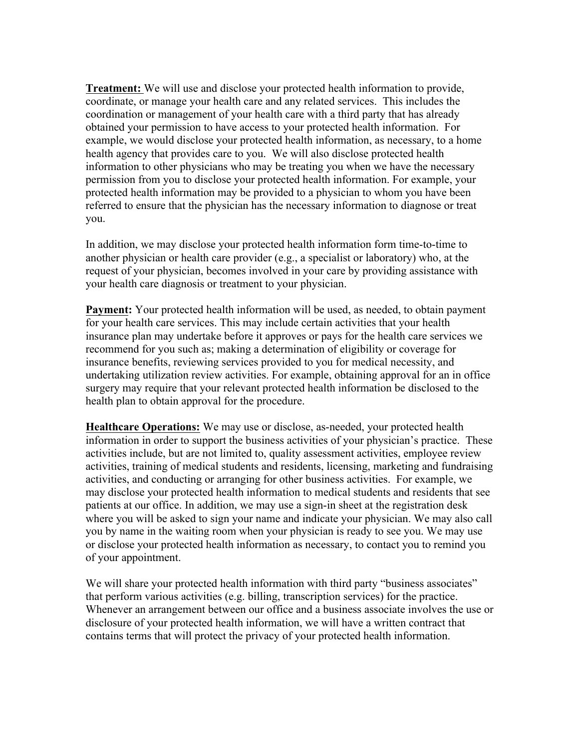**Treatment:** We will use and disclose your protected health information to provide, coordinate, or manage your health care and any related services. This includes the coordination or management of your health care with a third party that has already obtained your permission to have access to your protected health information. For example, we would disclose your protected health information, as necessary, to a home health agency that provides care to you. We will also disclose protected health information to other physicians who may be treating you when we have the necessary permission from you to disclose your protected health information. For example, your protected health information may be provided to a physician to whom you have been referred to ensure that the physician has the necessary information to diagnose or treat you.

In addition, we may disclose your protected health information form time-to-time to another physician or health care provider (e.g., a specialist or laboratory) who, at the request of your physician, becomes involved in your care by providing assistance with your health care diagnosis or treatment to your physician.

**Payment:** Your protected health information will be used, as needed, to obtain payment for your health care services. This may include certain activities that your health insurance plan may undertake before it approves or pays for the health care services we recommend for you such as; making a determination of eligibility or coverage for insurance benefits, reviewing services provided to you for medical necessity, and undertaking utilization review activities. For example, obtaining approval for an in office surgery may require that your relevant protected health information be disclosed to the health plan to obtain approval for the procedure.

**Healthcare Operations:** We may use or disclose, as-needed, your protected health information in order to support the business activities of your physician's practice. These activities include, but are not limited to, quality assessment activities, employee review activities, training of medical students and residents, licensing, marketing and fundraising activities, and conducting or arranging for other business activities. For example, we may disclose your protected health information to medical students and residents that see patients at our office. In addition, we may use a sign-in sheet at the registration desk where you will be asked to sign your name and indicate your physician. We may also call you by name in the waiting room when your physician is ready to see you. We may use or disclose your protected health information as necessary, to contact you to remind you of your appointment.

We will share your protected health information with third party "business associates" that perform various activities (e.g. billing, transcription services) for the practice. Whenever an arrangement between our office and a business associate involves the use or disclosure of your protected health information, we will have a written contract that contains terms that will protect the privacy of your protected health information.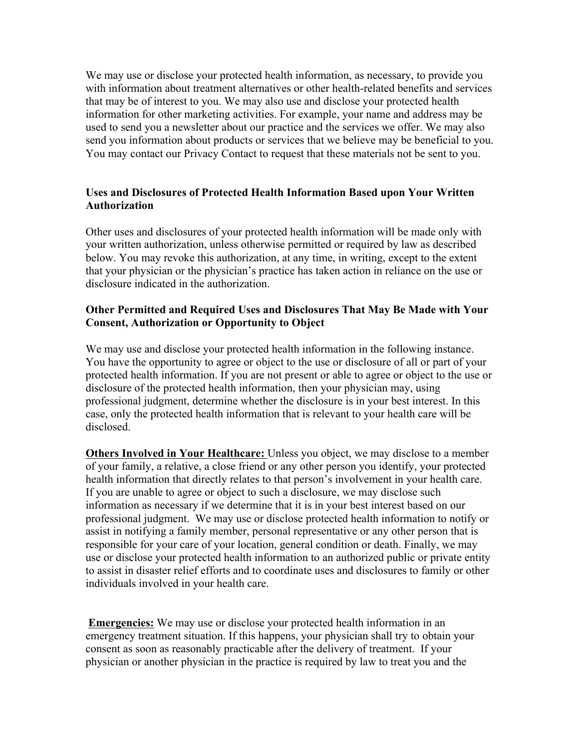We may use or disclose your protected health information, as necessary, to provide you with information about treatment alternatives or other health-related benefits and services that may be of interest to you. We may also use and disclose your protected health information for other marketing activities. For example, your name and address may be used to send you a newsletter about our practice and the services we offer. We may also send you information about products or services that we believe may be beneficial to you. You may contact our Privacy Contact to request that these materials not be sent to you.

### **Uses and Disclosures of Protected Health Information Based upon Your Written Authorization**

Other uses and disclosures of your protected health information will be made only with your written authorization, unless otherwise permitted or required by law as described below. You may revoke this authorization, at any time, in writing, except to the extent that your physician or the physician's practice has taken action in reliance on the use or disclosure indicated in the authorization.

### **Other Permitted and Required Uses and Disclosures That May Be Made with Your Consent, Authorization or Opportunity to Object**

We may use and disclose your protected health information in the following instance. You have the opportunity to agree or object to the use or disclosure of all or part of your protected health information. If you are not present or able to agree or object to the use or disclosure of the protected health information, then your physician may, using professional judgment, determine whether the disclosure is in your best interest. In this case, only the protected health information that is relevant to your health care will be disclosed.

**Others Involved in Your Healthcare:** Unless you object, we may disclose to a member of your family, a relative, a close friend or any other person you identify, your protected health information that directly relates to that person's involvement in your health care. If you are unable to agree or object to such a disclosure, we may disclose such information as necessary if we determine that it is in your best interest based on our professional judgment. We may use or disclose protected health information to notify or assist in notifying a family member, personal representative or any other person that is responsible for your care of your location, general condition or death. Finally, we may use or disclose your protected health information to an authorized public or private entity to assist in disaster relief efforts and to coordinate uses and disclosures to family or other individuals involved in your health care.

**Emergencies:** We may use or disclose your protected health information in an emergency treatment situation. If this happens, your physician shall try to obtain your consent as soon as reasonably practicable after the delivery of treatment. If your physician or another physician in the practice is required by law to treat you and the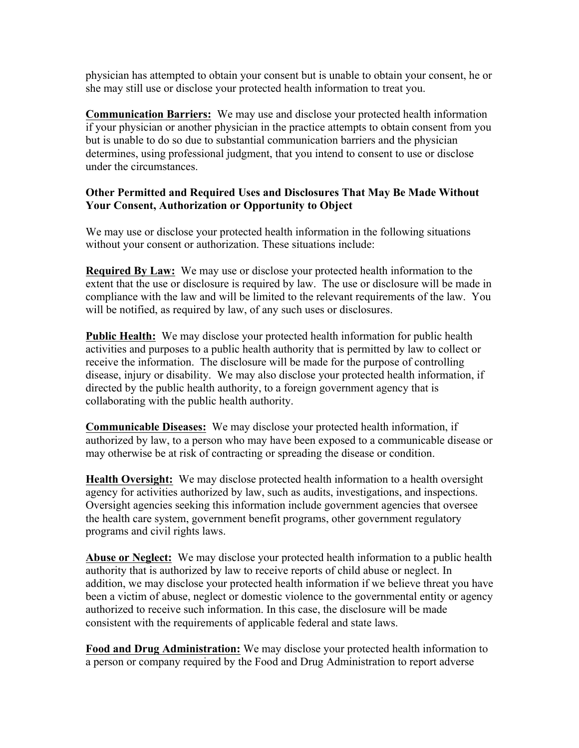physician has attempted to obtain your consent but is unable to obtain your consent, he or she may still use or disclose your protected health information to treat you.

**Communication Barriers:** We may use and disclose your protected health information if your physician or another physician in the practice attempts to obtain consent from you but is unable to do so due to substantial communication barriers and the physician determines, using professional judgment, that you intend to consent to use or disclose under the circumstances.

## **Other Permitted and Required Uses and Disclosures That May Be Made Without Your Consent, Authorization or Opportunity to Object**

We may use or disclose your protected health information in the following situations without your consent or authorization. These situations include:

**Required By Law:** We may use or disclose your protected health information to the extent that the use or disclosure is required by law. The use or disclosure will be made in compliance with the law and will be limited to the relevant requirements of the law. You will be notified, as required by law, of any such uses or disclosures.

**Public Health:** We may disclose your protected health information for public health activities and purposes to a public health authority that is permitted by law to collect or receive the information. The disclosure will be made for the purpose of controlling disease, injury or disability. We may also disclose your protected health information, if directed by the public health authority, to a foreign government agency that is collaborating with the public health authority.

**Communicable Diseases:** We may disclose your protected health information, if authorized by law, to a person who may have been exposed to a communicable disease or may otherwise be at risk of contracting or spreading the disease or condition.

**Health Oversight:** We may disclose protected health information to a health oversight agency for activities authorized by law, such as audits, investigations, and inspections. Oversight agencies seeking this information include government agencies that oversee the health care system, government benefit programs, other government regulatory programs and civil rights laws.

**Abuse or Neglect:** We may disclose your protected health information to a public health authority that is authorized by law to receive reports of child abuse or neglect. In addition, we may disclose your protected health information if we believe threat you have been a victim of abuse, neglect or domestic violence to the governmental entity or agency authorized to receive such information. In this case, the disclosure will be made consistent with the requirements of applicable federal and state laws.

**Food and Drug Administration:** We may disclose your protected health information to a person or company required by the Food and Drug Administration to report adverse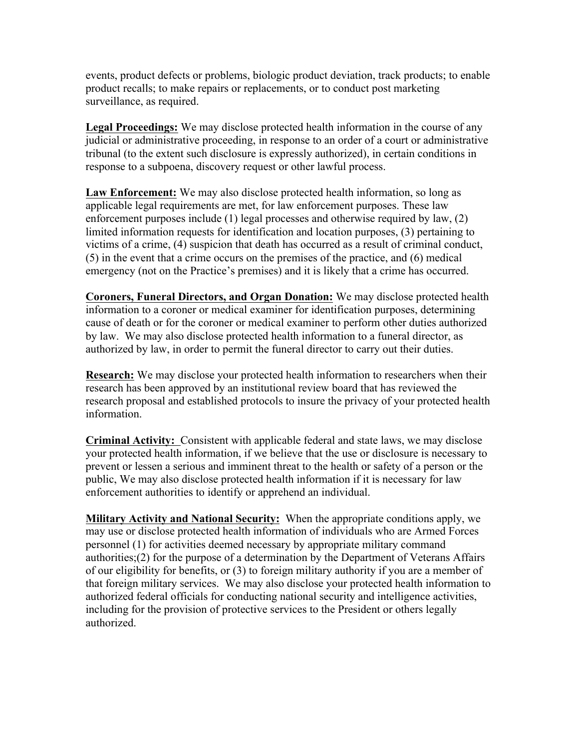events, product defects or problems, biologic product deviation, track products; to enable product recalls; to make repairs or replacements, or to conduct post marketing surveillance, as required.

**Legal Proceedings:** We may disclose protected health information in the course of any judicial or administrative proceeding, in response to an order of a court or administrative tribunal (to the extent such disclosure is expressly authorized), in certain conditions in response to a subpoena, discovery request or other lawful process.

**Law Enforcement:** We may also disclose protected health information, so long as applicable legal requirements are met, for law enforcement purposes. These law enforcement purposes include (1) legal processes and otherwise required by law, (2) limited information requests for identification and location purposes, (3) pertaining to victims of a crime, (4) suspicion that death has occurred as a result of criminal conduct, (5) in the event that a crime occurs on the premises of the practice, and (6) medical emergency (not on the Practice's premises) and it is likely that a crime has occurred.

**Coroners, Funeral Directors, and Organ Donation:** We may disclose protected health information to a coroner or medical examiner for identification purposes, determining cause of death or for the coroner or medical examiner to perform other duties authorized by law. We may also disclose protected health information to a funeral director, as authorized by law, in order to permit the funeral director to carry out their duties.

**Research:** We may disclose your protected health information to researchers when their research has been approved by an institutional review board that has reviewed the research proposal and established protocols to insure the privacy of your protected health information.

**Criminal Activity:** Consistent with applicable federal and state laws, we may disclose your protected health information, if we believe that the use or disclosure is necessary to prevent or lessen a serious and imminent threat to the health or safety of a person or the public, We may also disclose protected health information if it is necessary for law enforcement authorities to identify or apprehend an individual.

**Military Activity and National Security:** When the appropriate conditions apply, we may use or disclose protected health information of individuals who are Armed Forces personnel (1) for activities deemed necessary by appropriate military command authorities;(2) for the purpose of a determination by the Department of Veterans Affairs of our eligibility for benefits, or (3) to foreign military authority if you are a member of that foreign military services. We may also disclose your protected health information to authorized federal officials for conducting national security and intelligence activities, including for the provision of protective services to the President or others legally authorized.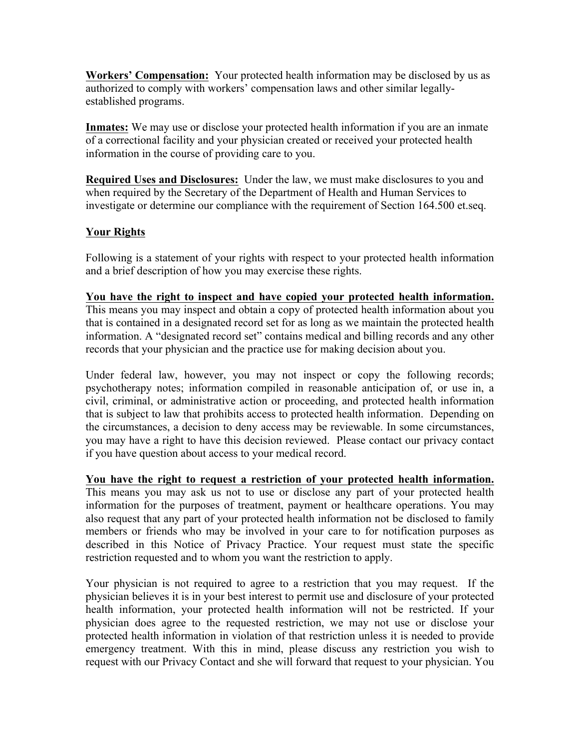**Workers' Compensation:** Your protected health information may be disclosed by us as authorized to comply with workers' compensation laws and other similar legallyestablished programs.

**Inmates:** We may use or disclose your protected health information if you are an inmate of a correctional facility and your physician created or received your protected health information in the course of providing care to you.

**Required Uses and Disclosures:** Under the law, we must make disclosures to you and when required by the Secretary of the Department of Health and Human Services to investigate or determine our compliance with the requirement of Section 164.500 et.seq.

# **Your Rights**

Following is a statement of your rights with respect to your protected health information and a brief description of how you may exercise these rights.

# **You have the right to inspect and have copied your protected health information.**

This means you may inspect and obtain a copy of protected health information about you that is contained in a designated record set for as long as we maintain the protected health information. A "designated record set" contains medical and billing records and any other records that your physician and the practice use for making decision about you.

Under federal law, however, you may not inspect or copy the following records; psychotherapy notes; information compiled in reasonable anticipation of, or use in, a civil, criminal, or administrative action or proceeding, and protected health information that is subject to law that prohibits access to protected health information. Depending on the circumstances, a decision to deny access may be reviewable. In some circumstances, you may have a right to have this decision reviewed. Please contact our privacy contact if you have question about access to your medical record.

# **You have the right to request a restriction of your protected health information.**

This means you may ask us not to use or disclose any part of your protected health information for the purposes of treatment, payment or healthcare operations. You may also request that any part of your protected health information not be disclosed to family members or friends who may be involved in your care to for notification purposes as described in this Notice of Privacy Practice. Your request must state the specific restriction requested and to whom you want the restriction to apply.

Your physician is not required to agree to a restriction that you may request. If the physician believes it is in your best interest to permit use and disclosure of your protected health information, your protected health information will not be restricted. If your physician does agree to the requested restriction, we may not use or disclose your protected health information in violation of that restriction unless it is needed to provide emergency treatment. With this in mind, please discuss any restriction you wish to request with our Privacy Contact and she will forward that request to your physician. You